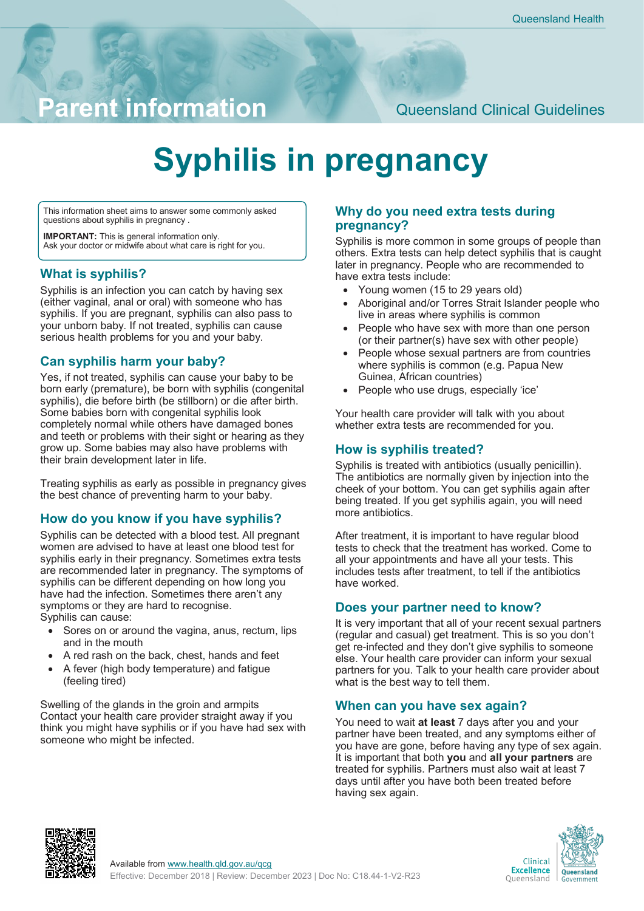# **Parent information** Queensland Clinical Guidelines

# **Syphilis in pregnancy**

This information sheet aims to answer some commonly asked questions about syphilis in pregnancy .

**IMPORTANT:** This is general information only. Ask your doctor or midwife about what care is right for you.

#### **What is syphilis?**

Syphilis is an infection you can catch by having sex (either vaginal, anal or oral) with someone who has syphilis. If you are pregnant, syphilis can also pass to your unborn baby. If not treated, syphilis can cause serious health problems for you and your baby.

# **Can syphilis harm your baby?**

Yes, if not treated, syphilis can cause your baby to be born early (premature), be born with syphilis (congenital syphilis), die before birth (be stillborn) or die after birth. Some babies born with congenital syphilis look completely normal while others have damaged bones and teeth or problems with their sight or hearing as they grow up. Some babies may also have problems with their brain development later in life.

Treating syphilis as early as possible in pregnancy gives the best chance of preventing harm to your baby.

## **How do you know if you have syphilis?**

Syphilis can be detected with a blood test. All pregnant women are advised to have at least one blood test for syphilis early in their pregnancy. Sometimes extra tests are recommended later in pregnancy. The symptoms of syphilis can be different depending on how long you have had the infection. Sometimes there aren't any symptoms or they are hard to recognise. Syphilis can cause:

- Sores on or around the vagina, anus, rectum, lips and in the mouth
- A red rash on the back, chest, hands and feet
- A fever (high body temperature) and fatigue (feeling tired)

Swelling of the glands in the groin and armpits Contact your health care provider straight away if you think you might have syphilis or if you have had sex with someone who might be infected.

#### **Why do you need extra tests during pregnancy?**

Syphilis is more common in some groups of people than others. Extra tests can help detect syphilis that is caught later in pregnancy. People who are recommended to have extra tests include:

- Young women (15 to 29 years old)
- Aboriginal and/or Torres Strait Islander people who live in areas where syphilis is common
- People who have sex with more than one person (or their partner(s) have sex with other people)
- People whose sexual partners are from countries where syphilis is common (e.g. Papua New Guinea, African countries)
- People who use drugs, especially 'ice'

Your health care provider will talk with you about whether extra tests are recommended for you.

## **How is syphilis treated?**

Syphilis is treated with antibiotics (usually penicillin). The antibiotics are normally given by injection into the cheek of your bottom. You can get syphilis again after being treated. If you get syphilis again, you will need more antibiotics.

After treatment, it is important to have regular blood tests to check that the treatment has worked. Come to all your appointments and have all your tests. This includes tests after treatment, to tell if the antibiotics have worked.

#### **Does your partner need to know?**

It is very important that all of your recent sexual partners (regular and casual) get treatment. This is so you don't get re-infected and they don't give syphilis to someone else. Your health care provider can inform your sexual partners for you. Talk to your health care provider about what is the best way to tell them.

#### **When can you have sex again?**

You need to wait **at least** 7 days after you and your partner have been treated, and any symptoms either of you have are gone, before having any type of sex again. It is important that both **you** and **all your partners** are treated for syphilis. Partners must also wait at least 7 days until after you have both been treated before having sex again.